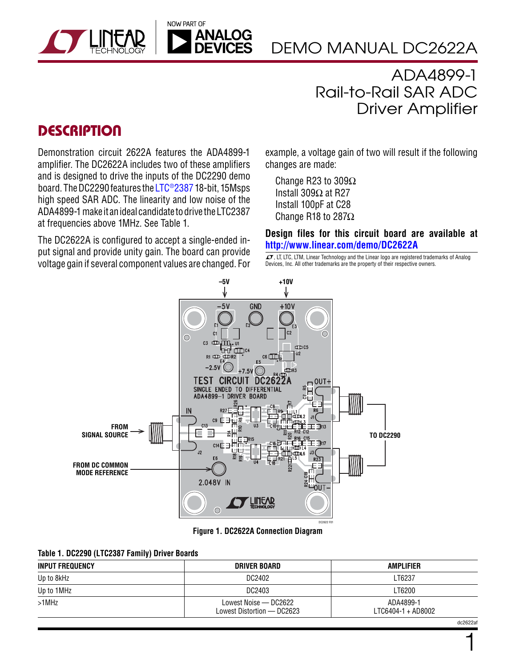



DEMO MANUAL DC2622A

ADA4899-1 Rail-to-Rail SAR ADC Driver Amplifier

### **DESCRIPTION**

Demonstration circuit 2622A features the ADA4899-1 amplifier. The DC2622A includes two of these amplifiers and is designed to drive the inputs of the DC2290 demo board. The DC2290 features the [LTC®2387](http://www.linear.com/LTC2387) 18-bit, 15Msps high speed SAR ADC. The linearity and low noise of the ADA4899-1 make it anideal candidate todrive theLTC2387 at frequencies above 1MHz. See Table 1.

The DC2622A is configured to accept a single-ended input signal and provide unity gain. The board can provide voltage gain if several component values are changed. For example, a voltage gain of two will result if the following changes are made:

Change R23 to 309Ω Install 309Ω at R27 Install 100pF at C28 Change R18 to 287Ω

**Design files for this circuit board are available at <http://www.linear.com/demo/DC2622A>**

 $\overline{LT}$ , LT, LTC, LTM, Linear Technology and the Linear logo are registered trademarks of Analog Devices, Inc. All other trademarks are the property of their respective owners.



**Figure 1. DC2622A Connection Diagram**

| Table 1. DC2290 (LTC2387 Family) Driver Boards |  |  |  |  |
|------------------------------------------------|--|--|--|--|
|------------------------------------------------|--|--|--|--|

| <b>INPUT FREQUENCY</b> | DRIVER BOARD                                        | <b>AMPLIFIER</b>                |  |
|------------------------|-----------------------------------------------------|---------------------------------|--|
| Up to 8kHz             | DC2402                                              | LT6237                          |  |
| Up to 1MHz             | DC2403                                              | LT6200                          |  |
| $>1$ MHz               | Lowest Noise - DC2622<br>Lowest Distortion - DC2623 | ADA4899-1<br>LTC6404-1 + AD8002 |  |

1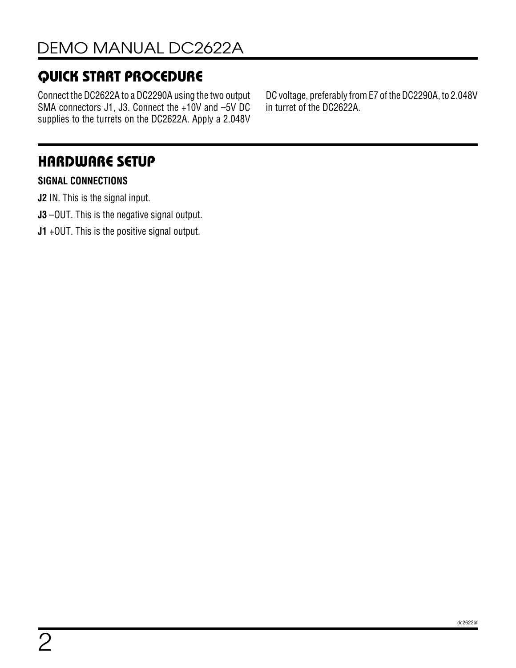# Quick Start Procedure

Connect the DC2622A to a DC2290A using the two output SMA connectors J1, J3. Connect the +10V and –5V DC supplies to the turrets on the DC2622A. Apply a 2.048V

DC voltage, preferably from E7 of the DC2290A, to 2.048V in turret of the DC2622A.

## Hardware Setup

### **SIGNAL CONNECTIONS**

**J2** IN. This is the signal input.

- **J3** –OUT. This is the negative signal output.
- **J1** +OUT. This is the positive signal output.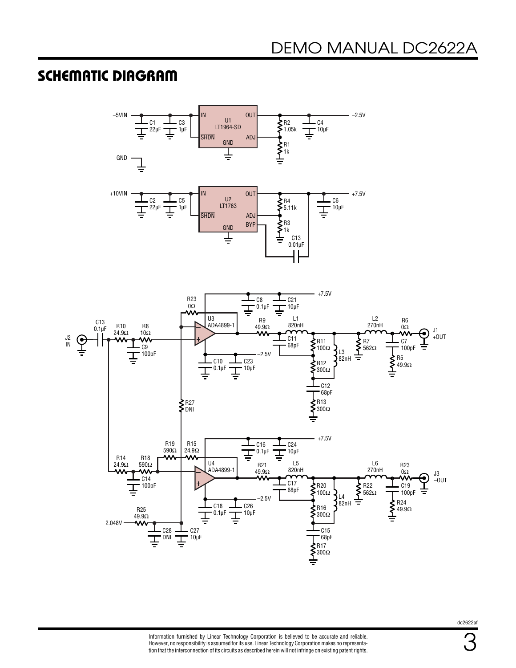### Schematic Diagram



dc2622af